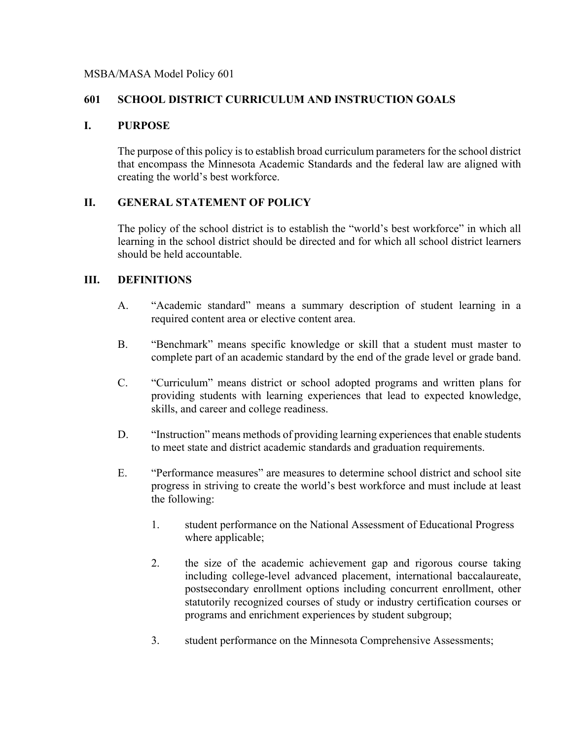#### MSBA/MASA Model Policy 601

## **601 SCHOOL DISTRICT CURRICULUM AND INSTRUCTION GOALS**

#### **I. PURPOSE**

The purpose of this policy is to establish broad curriculum parameters for the school district that encompass the Minnesota Academic Standards and the federal law are aligned with creating the world's best workforce.

## **II. GENERAL STATEMENT OF POLICY**

The policy of the school district is to establish the "world's best workforce" in which all learning in the school district should be directed and for which all school district learners should be held accountable.

## **III. DEFINITIONS**

- A. "Academic standard" means a summary description of student learning in a required content area or elective content area.
- B. "Benchmark" means specific knowledge or skill that a student must master to complete part of an academic standard by the end of the grade level or grade band.
- C. "Curriculum" means district or school adopted programs and written plans for providing students with learning experiences that lead to expected knowledge, skills, and career and college readiness.
- D. "Instruction" means methods of providing learning experiences that enable students to meet state and district academic standards and graduation requirements.
- E. "Performance measures" are measures to determine school district and school site progress in striving to create the world's best workforce and must include at least the following:
	- 1. student performance on the National Assessment of Educational Progress where applicable;
	- 2. the size of the academic achievement gap and rigorous course taking including college-level advanced placement, international baccalaureate, postsecondary enrollment options including concurrent enrollment, other statutorily recognized courses of study or industry certification courses or programs and enrichment experiences by student subgroup;
	- 3. student performance on the Minnesota Comprehensive Assessments;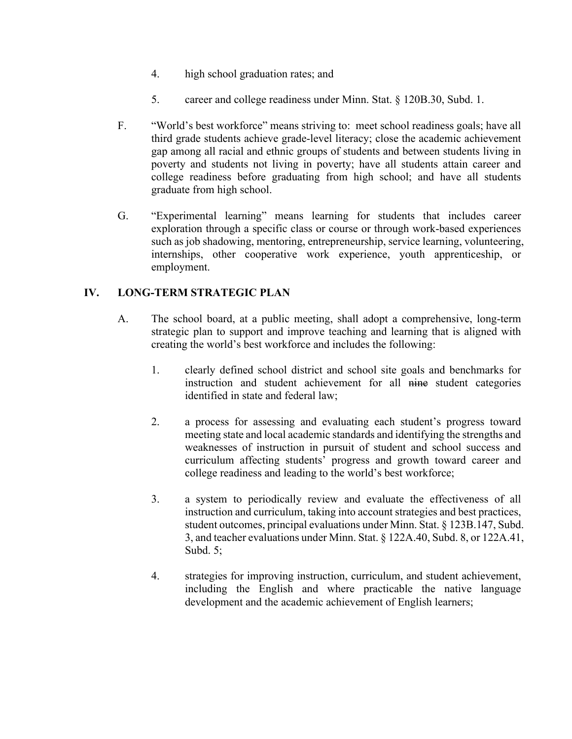- 4. high school graduation rates; and
- 5. career and college readiness under Minn. Stat. § 120B.30, Subd. 1.
- F. "World's best workforce" means striving to: meet school readiness goals; have all third grade students achieve grade-level literacy; close the academic achievement gap among all racial and ethnic groups of students and between students living in poverty and students not living in poverty; have all students attain career and college readiness before graduating from high school; and have all students graduate from high school.
- G. "Experimental learning" means learning for students that includes career exploration through a specific class or course or through work-based experiences such as job shadowing, mentoring, entrepreneurship, service learning, volunteering, internships, other cooperative work experience, youth apprenticeship, or employment.

# **IV. LONG-TERM STRATEGIC PLAN**

- A. The school board, at a public meeting, shall adopt a comprehensive, long-term strategic plan to support and improve teaching and learning that is aligned with creating the world's best workforce and includes the following:
	- 1. clearly defined school district and school site goals and benchmarks for instruction and student achievement for all nine student categories identified in state and federal law;
	- 2. a process for assessing and evaluating each student's progress toward meeting state and local academic standards and identifying the strengths and weaknesses of instruction in pursuit of student and school success and curriculum affecting students' progress and growth toward career and college readiness and leading to the world's best workforce;
	- 3. a system to periodically review and evaluate the effectiveness of all instruction and curriculum, taking into account strategies and best practices, student outcomes, principal evaluations under Minn. Stat. § 123B.147, Subd. 3, and teacher evaluations under Minn. Stat. § 122A.40, Subd. 8, or 122A.41, Subd. 5;
	- 4. strategies for improving instruction, curriculum, and student achievement, including the English and where practicable the native language development and the academic achievement of English learners;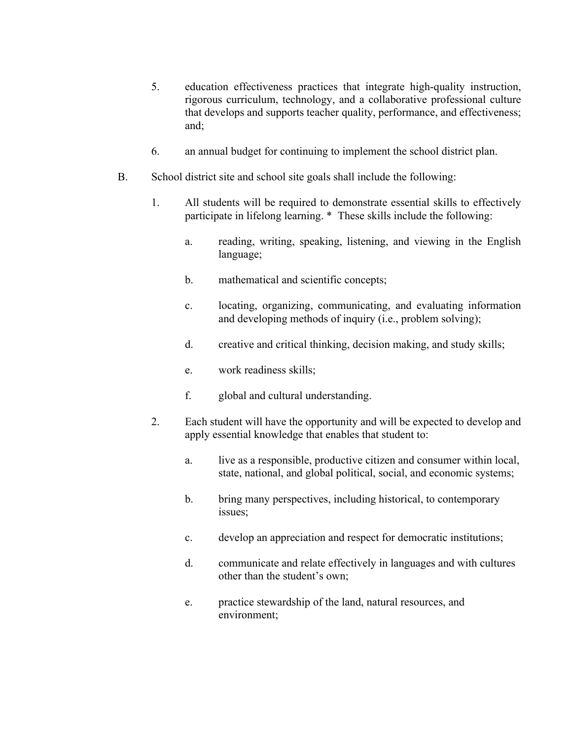- 5. education effectiveness practices that integrate high-quality instruction, rigorous curriculum, technology, and a collaborative professional culture that develops and supports teacher quality, performance, and effectiveness; and;
- 6. an annual budget for continuing to implement the school district plan.
- B. School district site and school site goals shall include the following:
	- 1. All students will be required to demonstrate essential skills to effectively participate in lifelong learning. \* These skills include the following:
		- a. reading, writing, speaking, listening, and viewing in the English language;
		- b. mathematical and scientific concepts;
		- c. locating, organizing, communicating, and evaluating information and developing methods of inquiry (i.e., problem solving);
		- d. creative and critical thinking, decision making, and study skills;
		- e. work readiness skills;
		- f. global and cultural understanding.
	- 2. Each student will have the opportunity and will be expected to develop and apply essential knowledge that enables that student to:
		- a. live as a responsible, productive citizen and consumer within local, state, national, and global political, social, and economic systems;
		- b. bring many perspectives, including historical, to contemporary issues;
		- c. develop an appreciation and respect for democratic institutions;
		- d. communicate and relate effectively in languages and with cultures other than the student's own;
		- e. practice stewardship of the land, natural resources, and environment;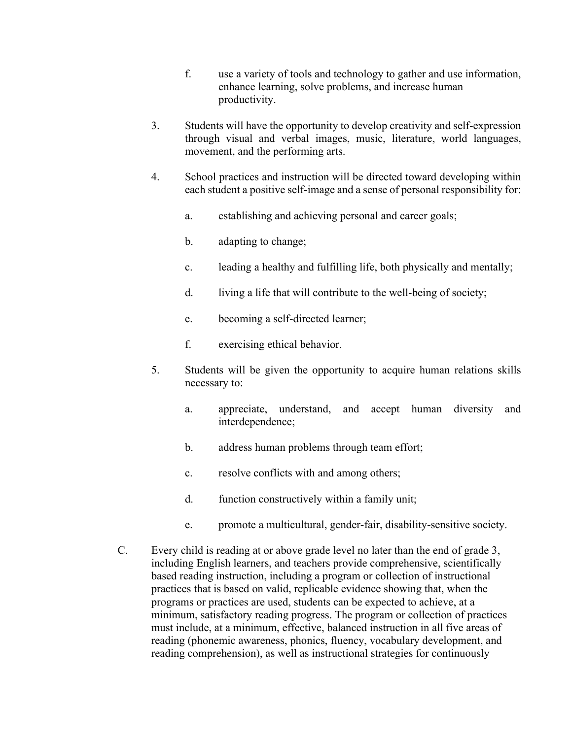- f. use a variety of tools and technology to gather and use information, enhance learning, solve problems, and increase human productivity.
- 3. Students will have the opportunity to develop creativity and self-expression through visual and verbal images, music, literature, world languages, movement, and the performing arts.
- 4. School practices and instruction will be directed toward developing within each student a positive self-image and a sense of personal responsibility for:
	- a. establishing and achieving personal and career goals;
	- b. adapting to change;
	- c. leading a healthy and fulfilling life, both physically and mentally;
	- d. living a life that will contribute to the well-being of society;
	- e. becoming a self-directed learner;
	- f. exercising ethical behavior.
- 5. Students will be given the opportunity to acquire human relations skills necessary to:
	- a. appreciate, understand, and accept human diversity and interdependence;
	- b. address human problems through team effort;
	- c. resolve conflicts with and among others;
	- d. function constructively within a family unit;
	- e. promote a multicultural, gender-fair, disability-sensitive society.
- C. Every child is reading at or above grade level no later than the end of grade 3, including English learners, and teachers provide comprehensive, scientifically based reading instruction, including a program or collection of instructional practices that is based on valid, replicable evidence showing that, when the programs or practices are used, students can be expected to achieve, at a minimum, satisfactory reading progress. The program or collection of practices must include, at a minimum, effective, balanced instruction in all five areas of reading (phonemic awareness, phonics, fluency, vocabulary development, and reading comprehension), as well as instructional strategies for continuously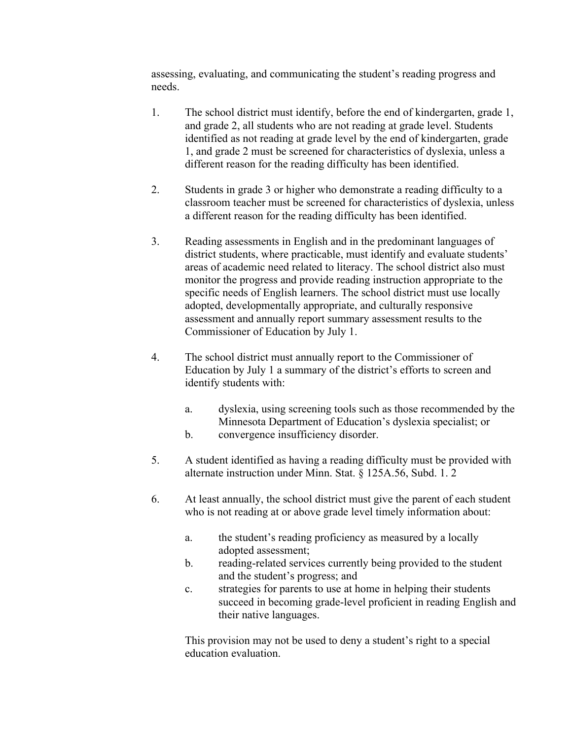assessing, evaluating, and communicating the student's reading progress and needs.

- 1. The school district must identify, before the end of kindergarten, grade 1, and grade 2, all students who are not reading at grade level. Students identified as not reading at grade level by the end of kindergarten, grade 1, and grade 2 must be screened for characteristics of dyslexia, unless a different reason for the reading difficulty has been identified.
- 2. Students in grade 3 or higher who demonstrate a reading difficulty to a classroom teacher must be screened for characteristics of dyslexia, unless a different reason for the reading difficulty has been identified.
- 3. Reading assessments in English and in the predominant languages of district students, where practicable, must identify and evaluate students' areas of academic need related to literacy. The school district also must monitor the progress and provide reading instruction appropriate to the specific needs of English learners. The school district must use locally adopted, developmentally appropriate, and culturally responsive assessment and annually report summary assessment results to the Commissioner of Education by July 1.
- 4. The school district must annually report to the Commissioner of Education by July 1 a summary of the district's efforts to screen and identify students with:
	- a. dyslexia, using screening tools such as those recommended by the Minnesota Department of Education's dyslexia specialist; or
	- b. convergence insufficiency disorder.
- 5. A student identified as having a reading difficulty must be provided with alternate instruction under Minn. Stat. § 125A.56, Subd. 1. 2
- 6. At least annually, the school district must give the parent of each student who is not reading at or above grade level timely information about:
	- a. the student's reading proficiency as measured by a locally adopted assessment;
	- b. reading-related services currently being provided to the student and the student's progress; and
	- c. strategies for parents to use at home in helping their students succeed in becoming grade-level proficient in reading English and their native languages.

This provision may not be used to deny a student's right to a special education evaluation.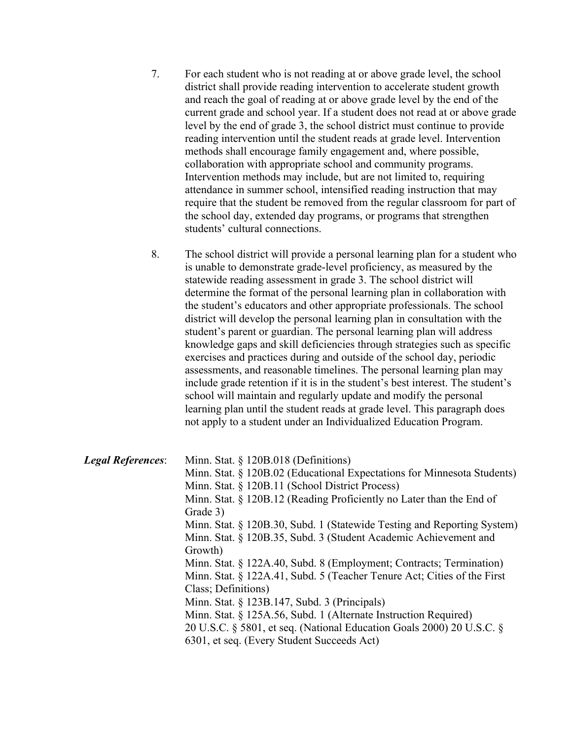7. For each student who is not reading at or above grade level, the school district shall provide reading intervention to accelerate student growth and reach the goal of reading at or above grade level by the end of the current grade and school year. If a student does not read at or above grade level by the end of grade 3, the school district must continue to provide reading intervention until the student reads at grade level. Intervention methods shall encourage family engagement and, where possible, collaboration with appropriate school and community programs. Intervention methods may include, but are not limited to, requiring attendance in summer school, intensified reading instruction that may require that the student be removed from the regular classroom for part of the school day, extended day programs, or programs that strengthen students' cultural connections.

8. The school district will provide a personal learning plan for a student who is unable to demonstrate grade-level proficiency, as measured by the statewide reading assessment in grade 3. The school district will determine the format of the personal learning plan in collaboration with the student's educators and other appropriate professionals. The school district will develop the personal learning plan in consultation with the student's parent or guardian. The personal learning plan will address knowledge gaps and skill deficiencies through strategies such as specific exercises and practices during and outside of the school day, periodic assessments, and reasonable timelines. The personal learning plan may include grade retention if it is in the student's best interest. The student's school will maintain and regularly update and modify the personal learning plan until the student reads at grade level. This paragraph does not apply to a student under an Individualized Education Program.

| <b>Legal References:</b> | Minn. Stat. § 120B.018 (Definitions)                                    |
|--------------------------|-------------------------------------------------------------------------|
|                          | Minn. Stat. § 120B.02 (Educational Expectations for Minnesota Students) |
|                          | Minn. Stat. § 120B.11 (School District Process)                         |
|                          | Minn. Stat. $\S$ 120B.12 (Reading Proficiently no Later than the End of |
|                          | Grade 3)                                                                |
|                          | Minn. Stat. § 120B.30, Subd. 1 (Statewide Testing and Reporting System) |
|                          | Minn. Stat. § 120B.35, Subd. 3 (Student Academic Achievement and        |
|                          | Growth)                                                                 |
|                          | Minn. Stat. § 122A.40, Subd. 8 (Employment; Contracts; Termination)     |
|                          | Minn. Stat. § 122A.41, Subd. 5 (Teacher Tenure Act; Cities of the First |
|                          | Class; Definitions)                                                     |
|                          | Minn. Stat. § 123B.147, Subd. 3 (Principals)                            |
|                          | Minn. Stat. § 125A.56, Subd. 1 (Alternate Instruction Required)         |
|                          | 20 U.S.C. § 5801, et seq. (National Education Goals 2000) 20 U.S.C. §   |
|                          | 6301, et seq. (Every Student Succeeds Act)                              |
|                          |                                                                         |